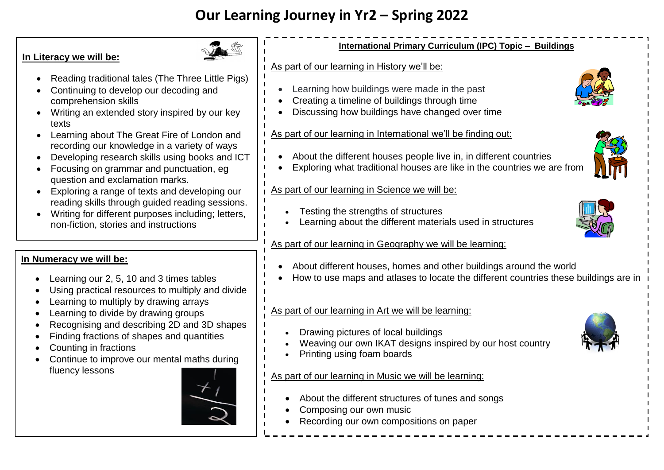# **Our Learning Journey in Yr2 – Spring 2022**

#### **In Literacy we will be:**



- Reading traditional tales (The Three Little Pigs)
- Continuing to develop our decoding and comprehension skills
- Writing an extended story inspired by our key texts
- Learning about The Great Fire of London and recording our knowledge in a variety of ways
- Developing research skills using books and ICT
- Focusing on grammar and punctuation, eg question and exclamation marks.
- Exploring a range of texts and developing our reading skills through guided reading sessions.
- Writing for different purposes including; letters, non-fiction, stories and instructions

## **In Numeracy we will be:**

- Learning our 2, 5, 10 and 3 times tables
- Using practical resources to multiply and divide
- Learning to multiply by drawing arrays
- Learning to divide by drawing groups
- Recognising and describing 2D and 3D shapes
- Finding fractions of shapes and quantities
- Counting in fractions
- Continue to improve our mental maths during fluency lessons



## **International Primary Curriculum (IPC) Topic – Buildings**

## As part of our learning in History we'll be:

- Learning how buildings were made in the past
- Creating a timeline of buildings through time
- Discussing how buildings have changed over time

# As part of our learning in International we'll be finding out:

- About the different houses people live in, in different countries
- Exploring what traditional houses are like in the countries we are from

#### As part of our learning in Science we will be:

- Testing the strengths of structures
- Learning about the different materials used in structures



- As part of our learning in Geography we will be learning:
	- About different houses, homes and other buildings around the world
	- How to use maps and atlases to locate the different countries these buildings are in

## As part of our learning in Art we will be learning:

- Drawing pictures of local buildings
- Weaving our own IKAT designs inspired by our host country
- Printing using foam boards

## As part of our learning in Music we will be learning:

- About the different structures of tunes and songs
- Composing our own music
- Recording our own compositions on paper